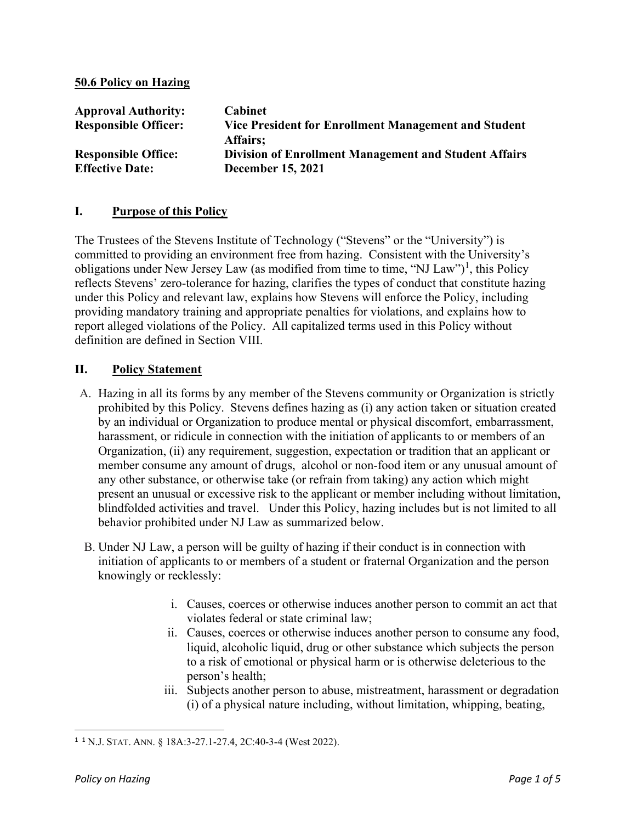#### **50.6 Policy on Hazing**

| <b>Approval Authority:</b><br><b>Responsible Officer:</b> | Cabinet<br>Vice President for Enrollment Management and Student<br>Affairs; |
|-----------------------------------------------------------|-----------------------------------------------------------------------------|
| <b>Responsible Office:</b>                                | <b>Division of Enrollment Management and Student Affairs</b>                |
| <b>Effective Date:</b>                                    | <b>December 15, 2021</b>                                                    |

#### **I. Purpose of this Policy**

The Trustees of the Stevens Institute of Technology ("Stevens" or the "University") is committed to providing an environment free from hazing. Consistent with the University's obligations under New Jersey Law (as modified from time to time, "NJ Law")<sup>[1](#page-0-0)</sup>, this Policy reflects Stevens' zero-tolerance for hazing, clarifies the types of conduct that constitute hazing under this Policy and relevant law, explains how Stevens will enforce the Policy, including providing mandatory training and appropriate penalties for violations, and explains how to report alleged violations of the Policy. All capitalized terms used in this Policy without definition are defined in Section VIII.

#### **II. Policy Statement**

- A. Hazing in all its forms by any member of the Stevens community or Organization is strictly prohibited by this Policy. Stevens defines hazing as (i) any action taken or situation created by an individual or Organization to produce mental or physical discomfort, embarrassment, harassment, or ridicule in connection with the initiation of applicants to or members of an Organization, (ii) any requirement, suggestion, expectation or tradition that an applicant or member consume any amount of drugs, alcohol or non-food item or any unusual amount of any other substance, or otherwise take (or refrain from taking) any action which might present an unusual or excessive risk to the applicant or member including without limitation, blindfolded activities and travel. Under this Policy, hazing includes but is not limited to all behavior prohibited under NJ Law as summarized below.
- B. Under NJ Law, a person will be guilty of hazing if their conduct is in connection with initiation of applicants to or members of a student or fraternal Organization and the person knowingly or recklessly:
	- i. Causes, coerces or otherwise induces another person to commit an act that violates federal or state criminal law;
	- ii. Causes, coerces or otherwise induces another person to consume any food, liquid, alcoholic liquid, drug or other substance which subjects the person to a risk of emotional or physical harm or is otherwise deleterious to the person's health;
	- iii. Subjects another person to abuse, mistreatment, harassment or degradation (i) of a physical nature including, without limitation, whipping, beating,

<span id="page-0-0"></span><sup>1</sup> <sup>1</sup> N.J. STAT. ANN. § 18A:3-27.1-27.4, 2C:40-3-4 (West 2022).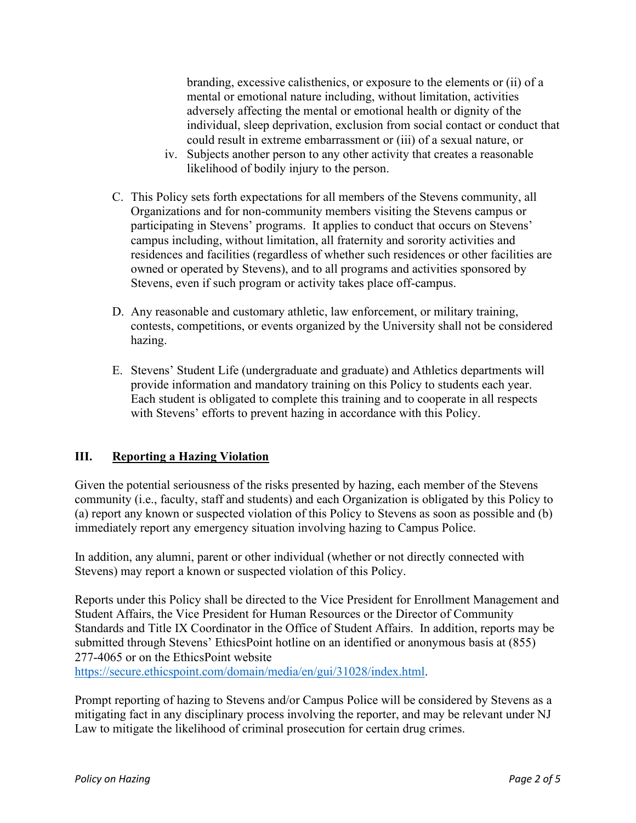branding, excessive calisthenics, or exposure to the elements or (ii) of a mental or emotional nature including, without limitation, activities adversely affecting the mental or emotional health or dignity of the individual, sleep deprivation, exclusion from social contact or conduct that could result in extreme embarrassment or (iii) of a sexual nature, or

- iv. Subjects another person to any other activity that creates a reasonable likelihood of bodily injury to the person.
- C. This Policy sets forth expectations for all members of the Stevens community, all Organizations and for non-community members visiting the Stevens campus or participating in Stevens' programs. It applies to conduct that occurs on Stevens' campus including, without limitation, all fraternity and sorority activities and residences and facilities (regardless of whether such residences or other facilities are owned or operated by Stevens), and to all programs and activities sponsored by Stevens, even if such program or activity takes place off-campus.
- D. Any reasonable and customary athletic, law enforcement, or military training, contests, competitions, or events organized by the University shall not be considered hazing.
- E. Stevens' Student Life (undergraduate and graduate) and Athletics departments will provide information and mandatory training on this Policy to students each year. Each student is obligated to complete this training and to cooperate in all respects with Stevens' efforts to prevent hazing in accordance with this Policy.

#### **III. Reporting a Hazing Violation**

Given the potential seriousness of the risks presented by hazing, each member of the Stevens community (i.e., faculty, staff and students) and each Organization is obligated by this Policy to (a) report any known or suspected violation of this Policy to Stevens as soon as possible and (b) immediately report any emergency situation involving hazing to Campus Police.

In addition, any alumni, parent or other individual (whether or not directly connected with Stevens) may report a known or suspected violation of this Policy.

Reports under this Policy shall be directed to the Vice President for Enrollment Management and Student Affairs, the Vice President for Human Resources or the Director of Community Standards and Title IX Coordinator in the Office of Student Affairs. In addition, reports may be submitted through Stevens' EthicsPoint hotline on an identified or anonymous basis at (855) 277-4065 or on the EthicsPoint website

[https://secure.ethicspoint.com/domain/media/en/gui/31028/index.html.](https://secure.ethicspoint.com/domain/media/en/gui/31028/index.html)

Prompt reporting of hazing to Stevens and/or Campus Police will be considered by Stevens as a mitigating fact in any disciplinary process involving the reporter, and may be relevant under NJ Law to mitigate the likelihood of criminal prosecution for certain drug crimes.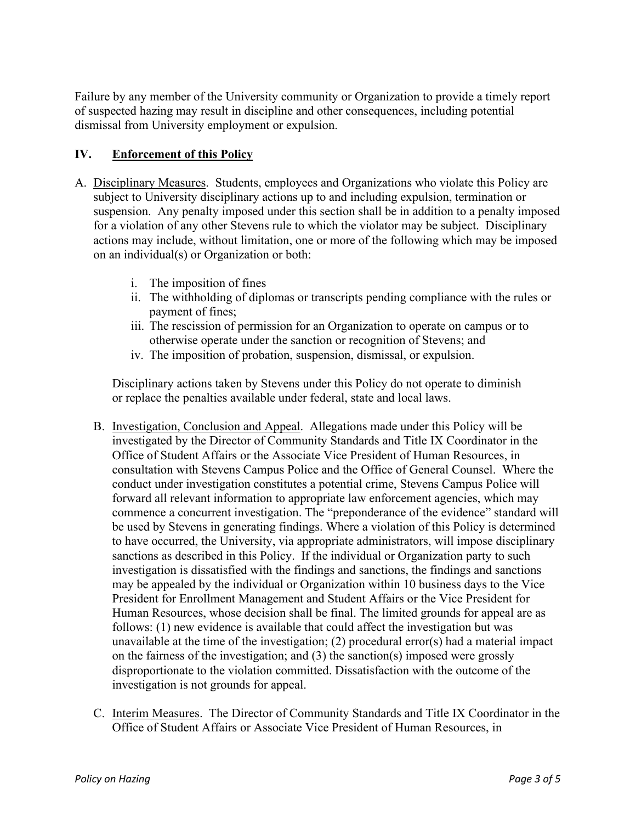Failure by any member of the University community or Organization to provide a timely report of suspected hazing may result in discipline and other consequences, including potential dismissal from University employment or expulsion.

### **IV. Enforcement of this Policy**

- A. Disciplinary Measures. Students, employees and Organizations who violate this Policy are subject to University disciplinary actions up to and including expulsion, termination or suspension. Any penalty imposed under this section shall be in addition to a penalty imposed for a violation of any other Stevens rule to which the violator may be subject. Disciplinary actions may include, without limitation, one or more of the following which may be imposed on an individual(s) or Organization or both:
	- i. The imposition of fines
	- ii. The withholding of diplomas or transcripts pending compliance with the rules or payment of fines;
	- iii. The rescission of permission for an Organization to operate on campus or to otherwise operate under the sanction or recognition of Stevens; and
	- iv. The imposition of probation, suspension, dismissal, or expulsion.

Disciplinary actions taken by Stevens under this Policy do not operate to diminish or replace the penalties available under federal, state and local laws.

- B. Investigation, Conclusion and Appeal. Allegations made under this Policy will be investigated by the Director of Community Standards and Title IX Coordinator in the Office of Student Affairs or the Associate Vice President of Human Resources, in consultation with Stevens Campus Police and the Office of General Counsel. Where the conduct under investigation constitutes a potential crime, Stevens Campus Police will forward all relevant information to appropriate law enforcement agencies, which may commence a concurrent investigation. The "preponderance of the evidence" standard will be used by Stevens in generating findings. Where a violation of this Policy is determined to have occurred, the University, via appropriate administrators, will impose disciplinary sanctions as described in this Policy. If the individual or Organization party to such investigation is dissatisfied with the findings and sanctions, the findings and sanctions may be appealed by the individual or Organization within 10 business days to the Vice President for Enrollment Management and Student Affairs or the Vice President for Human Resources, whose decision shall be final. The limited grounds for appeal are as follows: (1) new evidence is available that could affect the investigation but was unavailable at the time of the investigation; (2) procedural error(s) had a material impact on the fairness of the investigation; and  $(3)$  the sanction(s) imposed were grossly disproportionate to the violation committed. Dissatisfaction with the outcome of the investigation is not grounds for appeal.
- C. Interim Measures. The Director of Community Standards and Title IX Coordinator in the Office of Student Affairs or Associate Vice President of Human Resources, in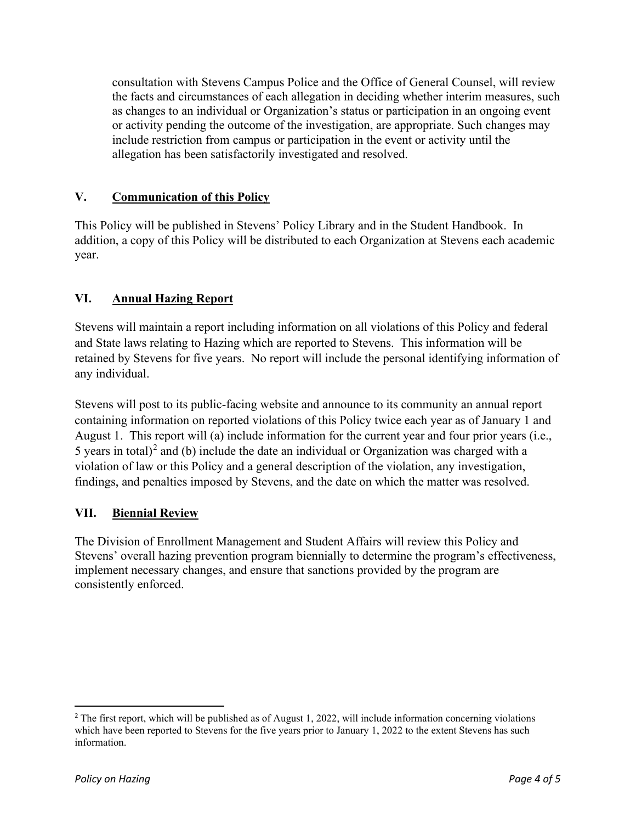consultation with Stevens Campus Police and the Office of General Counsel, will review the facts and circumstances of each allegation in deciding whether interim measures, such as changes to an individual or Organization's status or participation in an ongoing event or activity pending the outcome of the investigation, are appropriate. Such changes may include restriction from campus or participation in the event or activity until the allegation has been satisfactorily investigated and resolved.

## **V. Communication of this Policy**

This Policy will be published in Stevens' Policy Library and in the Student Handbook. In addition, a copy of this Policy will be distributed to each Organization at Stevens each academic year.

# **VI. Annual Hazing Report**

Stevens will maintain a report including information on all violations of this Policy and federal and State laws relating to Hazing which are reported to Stevens. This information will be retained by Stevens for five years. No report will include the personal identifying information of any individual.

Stevens will post to its public-facing website and announce to its community an annual report containing information on reported violations of this Policy twice each year as of January 1 and August 1. This report will (a) include information for the current year and four prior years (i.e., 5 years in total)<sup>[2](#page-3-0)</sup> and (b) include the date an individual or Organization was charged with a violation of law or this Policy and a general description of the violation, any investigation, findings, and penalties imposed by Stevens, and the date on which the matter was resolved.

#### **VII. Biennial Review**

The Division of Enrollment Management and Student Affairs will review this Policy and Stevens' overall hazing prevention program biennially to determine the program's effectiveness, implement necessary changes, and ensure that sanctions provided by the program are consistently enforced.

<span id="page-3-0"></span><sup>&</sup>lt;sup>2</sup> The first report, which will be published as of August 1, 2022, will include information concerning violations which have been reported to Stevens for the five years prior to January 1, 2022 to the extent Stevens has such information.